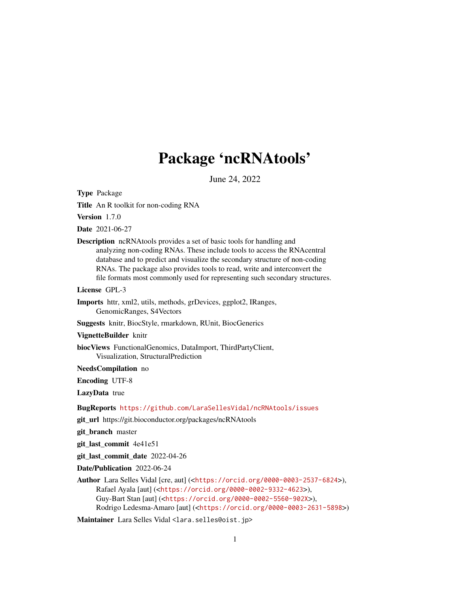## Package 'ncRNAtools'

June 24, 2022

Type Package

Title An R toolkit for non-coding RNA

Version 1.7.0

Date 2021-06-27

Description ncRNAtools provides a set of basic tools for handling and analyzing non-coding RNAs. These include tools to access the RNAcentral database and to predict and visualize the secondary structure of non-coding RNAs. The package also provides tools to read, write and interconvert the file formats most commonly used for representing such secondary structures.

License GPL-3

- Imports httr, xml2, utils, methods, grDevices, ggplot2, IRanges, GenomicRanges, S4Vectors
- Suggests knitr, BiocStyle, rmarkdown, RUnit, BiocGenerics

VignetteBuilder knitr

biocViews FunctionalGenomics, DataImport, ThirdPartyClient, Visualization, StructuralPrediction

NeedsCompilation no

Encoding UTF-8

LazyData true

BugReports <https://github.com/LaraSellesVidal/ncRNAtools/issues>

git\_url https://git.bioconductor.org/packages/ncRNAtools

git branch master

git\_last\_commit 4e41e51

git\_last\_commit\_date 2022-04-26

Date/Publication 2022-06-24

Author Lara Selles Vidal [cre, aut] (<<https://orcid.org/0000-0003-2537-6824>>), Rafael Ayala [aut] (<<https://orcid.org/0000-0002-9332-4623>>), Guy-Bart Stan [aut] (<<https://orcid.org/0000-0002-5560-902X>>), Rodrigo Ledesma-Amaro [aut] (<<https://orcid.org/0000-0003-2631-5898>>)

Maintainer Lara Selles Vidal <lara.selles@oist.jp>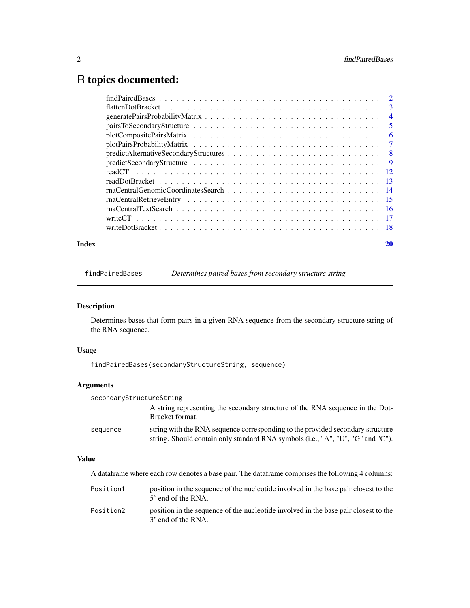### <span id="page-1-0"></span>R topics documented:

|       | $findPairedBases \dots \dots \dots \dots \dots \dots \dots \dots \dots \dots \dots \dots \dots \dots \dots \dots \dots \dots$ |    |
|-------|-------------------------------------------------------------------------------------------------------------------------------|----|
|       |                                                                                                                               |    |
|       |                                                                                                                               |    |
|       |                                                                                                                               |    |
|       |                                                                                                                               |    |
|       |                                                                                                                               |    |
|       |                                                                                                                               |    |
|       |                                                                                                                               |    |
|       |                                                                                                                               |    |
|       |                                                                                                                               |    |
|       |                                                                                                                               |    |
|       |                                                                                                                               |    |
|       |                                                                                                                               |    |
|       |                                                                                                                               |    |
|       |                                                                                                                               |    |
| Index |                                                                                                                               | 20 |

findPairedBases *Determines paired bases from secondary structure string*

#### Description

Determines bases that form pairs in a given RNA sequence from the secondary structure string of the RNA sequence.

#### Usage

```
findPairedBases(secondaryStructureString, sequence)
```
#### Arguments

| secondaryStructureString |                                                                                                                                                                   |  |
|--------------------------|-------------------------------------------------------------------------------------------------------------------------------------------------------------------|--|
|                          | A string representing the secondary structure of the RNA sequence in the Dot-<br>Bracket format.                                                                  |  |
| sequence                 | string with the RNA sequence corresponding to the provided secondary structure<br>string. Should contain only standard RNA symbols (i.e., "A", "U", "G" and "C"). |  |

#### Value

A dataframe where each row denotes a base pair. The dataframe comprises the following 4 columns:

| Position1 | position in the sequence of the nucleotide involved in the base pair closest to the<br>5' end of the RNA. |
|-----------|-----------------------------------------------------------------------------------------------------------|
| Position2 | position in the sequence of the nucleotide involved in the base pair closest to the<br>3' end of the RNA. |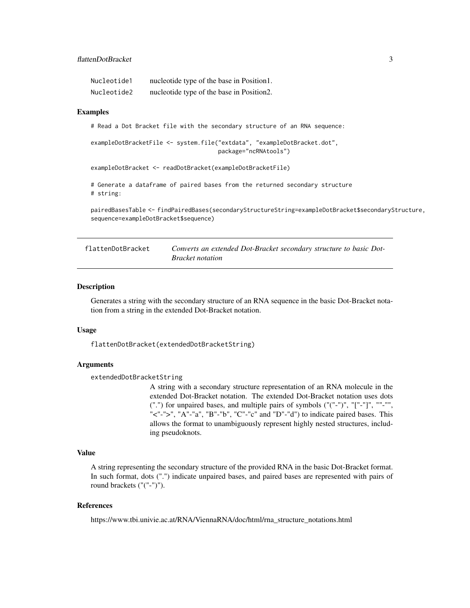<span id="page-2-0"></span>

| Nucleotide1 | nucleotide type of the base in Position 1. |
|-------------|--------------------------------------------|
| Nucleotide2 | nucleotide type of the base in Position2.  |

#### Examples

# Read a Dot Bracket file with the secondary structure of an RNA sequence:

```
exampleDotBracketFile <- system.file("extdata", "exampleDotBracket.dot",
                                     package="ncRNAtools")
```
exampleDotBracket <- readDotBracket(exampleDotBracketFile)

```
# Generate a dataframe of paired bases from the returned secondary structure
# string:
```

```
pairedBasesTable <- findPairedBases(secondaryStructureString=exampleDotBracket$secondaryStructure,
sequence=exampleDotBracket$sequence)
```

| flattenDotBracket | Converts an extended Dot-Bracket secondary structure to basic Dot- |
|-------------------|--------------------------------------------------------------------|
|                   | <b>Bracket notation</b>                                            |

#### Description

Generates a string with the secondary structure of an RNA sequence in the basic Dot-Bracket notation from a string in the extended Dot-Bracket notation.

#### Usage

flattenDotBracket(extendedDotBracketString)

#### Arguments

extendedDotBracketString

A string with a secondary structure representation of an RNA molecule in the extended Dot-Bracket notation. The extended Dot-Bracket notation uses dots (".") for unpaired bases, and multiple pairs of symbols ("("-")", "["-"]", ""-"", "<"-">", "A"-"a", "B"-"b", "C"-"c" and "D"-"d") to indicate paired bases. This allows the format to unambiguously represent highly nested structures, including pseudoknots.

#### Value

A string representing the secondary structure of the provided RNA in the basic Dot-Bracket format. In such format, dots (".") indicate unpaired bases, and paired bases are represented with pairs of round brackets ("("-")").

#### References

https://www.tbi.univie.ac.at/RNA/ViennaRNA/doc/html/rna\_structure\_notations.html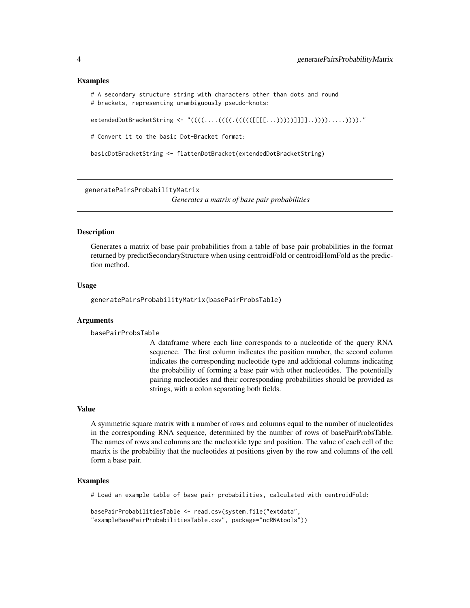#### Examples

```
# A secondary structure string with characters other than dots and round
# brackets, representing unambiguously pseudo-knots:
```
extendedDotBracketString <- "((((....(((((([[[[...)))))]]]]..)))).....))))."

# Convert it to the basic Dot-Bracket format:

basicDotBracketString <- flattenDotBracket(extendedDotBracketString)

generatePairsProbabilityMatrix

*Generates a matrix of base pair probabilities*

#### Description

Generates a matrix of base pair probabilities from a table of base pair probabilities in the format returned by predictSecondaryStructure when using centroidFold or centroidHomFold as the prediction method.

#### Usage

generatePairsProbabilityMatrix(basePairProbsTable)

#### Arguments

basePairProbsTable

A dataframe where each line corresponds to a nucleotide of the query RNA sequence. The first column indicates the position number, the second column indicates the corresponding nucleotide type and additional columns indicating the probability of forming a base pair with other nucleotides. The potentially pairing nucleotides and their corresponding probabilities should be provided as strings, with a colon separating both fields.

#### Value

A symmetric square matrix with a number of rows and columns equal to the number of nucleotides in the corresponding RNA sequence, determined by the number of rows of basePairProbsTable. The names of rows and columns are the nucleotide type and position. The value of each cell of the matrix is the probability that the nucleotides at positions given by the row and columns of the cell form a base pair.

#### Examples

# Load an example table of base pair probabilities, calculated with centroidFold:

```
basePairProbabilitiesTable <- read.csv(system.file("extdata",
"exampleBasePairProbabilitiesTable.csv", package="ncRNAtools"))
```
<span id="page-3-0"></span>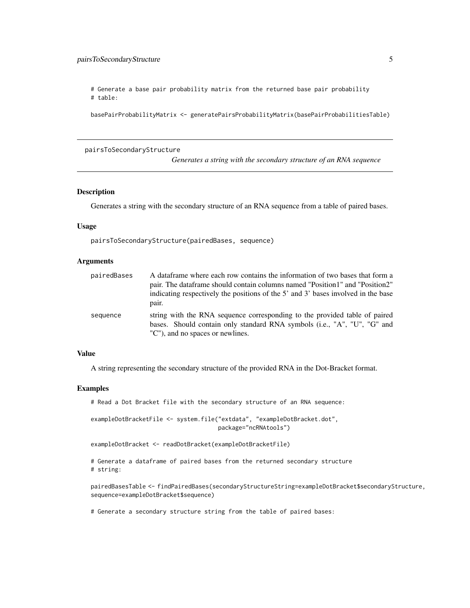<span id="page-4-0"></span># Generate a base pair probability matrix from the returned base pair probability # table:

basePairProbabilityMatrix <- generatePairsProbabilityMatrix(basePairProbabilitiesTable)

#### pairsToSecondaryStructure

*Generates a string with the secondary structure of an RNA sequence*

#### Description

Generates a string with the secondary structure of an RNA sequence from a table of paired bases.

#### Usage

pairsToSecondaryStructure(pairedBases, sequence)

#### Arguments

| pairedBases | A data frame where each row contains the information of two bases that form a<br>pair. The dataframe should contain columns named "Position1" and "Position2"<br>indicating respectively the positions of the 5' and 3' bases involved in the base<br>pair. |
|-------------|-------------------------------------------------------------------------------------------------------------------------------------------------------------------------------------------------------------------------------------------------------------|
| sequence    | string with the RNA sequence corresponding to the provided table of paired<br>bases. Should contain only standard RNA symbols (i.e., "A", "U", "G" and<br>"C"), and no spaces or newlines.                                                                  |

#### Value

A string representing the secondary structure of the provided RNA in the Dot-Bracket format.

#### Examples

# Read a Dot Bracket file with the secondary structure of an RNA sequence:

exampleDotBracketFile <- system.file("extdata", "exampleDotBracket.dot", package="ncRNAtools")

exampleDotBracket <- readDotBracket(exampleDotBracketFile)

# Generate a dataframe of paired bases from the returned secondary structure # string:

pairedBasesTable <- findPairedBases(secondaryStructureString=exampleDotBracket\$secondaryStructure, sequence=exampleDotBracket\$sequence)

# Generate a secondary structure string from the table of paired bases: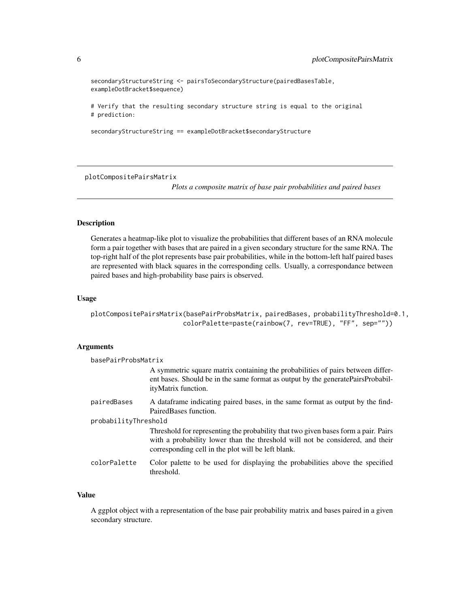```
secondaryStructureString <- pairsToSecondaryStructure(pairedBasesTable,
exampleDotBracket$sequence)
```
# Verify that the resulting secondary structure string is equal to the original # prediction:

```
secondaryStructureString == exampleDotBracket$secondaryStructure
```
plotCompositePairsMatrix

*Plots a composite matrix of base pair probabilities and paired bases*

#### Description

Generates a heatmap-like plot to visualize the probabilities that different bases of an RNA molecule form a pair together with bases that are paired in a given secondary structure for the same RNA. The top-right half of the plot represents base pair probabilities, while in the bottom-left half paired bases are represented with black squares in the corresponding cells. Usually, a correspondance between paired bases and high-probability base pairs is observed.

#### Usage

```
plotCompositePairsMatrix(basePairProbsMatrix, pairedBases, probabilityThreshold=0.1,
                        colorPalette=paste(rainbow(7, rev=TRUE), "FF", sep=""))
```
#### **Arguments**

| basePairProbsMatrix  |                                                                                                                                                                                                                           |  |
|----------------------|---------------------------------------------------------------------------------------------------------------------------------------------------------------------------------------------------------------------------|--|
|                      | A symmetric square matrix containing the probabilities of pairs between differ-<br>ent bases. Should be in the same format as output by the generate Pairs Probabil-<br>ityMatrix function.                               |  |
| pairedBases          | A data frame indicating paired bases, in the same format as output by the find-<br>Paired Bases function.                                                                                                                 |  |
| probabilityThreshold |                                                                                                                                                                                                                           |  |
|                      | Threshold for representing the probability that two given bases form a pair. Pairs<br>with a probability lower than the threshold will not be considered, and their<br>corresponding cell in the plot will be left blank. |  |
| colorPalette         | Color palette to be used for displaying the probabilities above the specified<br>threshold.                                                                                                                               |  |

#### Value

A ggplot object with a representation of the base pair probability matrix and bases paired in a given secondary structure.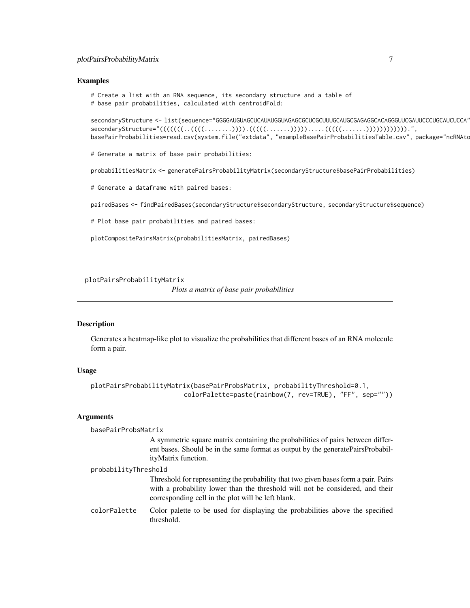#### <span id="page-6-0"></span>plotPairsProbabilityMatrix 7

#### Examples

# Create a list with an RNA sequence, its secondary structure and a table of # base pair probabilities, calculated with centroidFold:

secondaryStructure <- list(sequence="GGGGAUGUAGCUCAUAUGGUAGAGCGCUCGCUUUGCAUGCGAGAGGCACAGGGUUCGAUUCCCUGCAUCUCCA", secondaryStructure="(((((((..((((........)))).(((((.......))))).....(((((.......)))))))))))).", basePairProbabilities=read.csv(system.file("extdata", "exampleBasePairProbabilitiesTable.csv", package="ncRNAto

# Generate a matrix of base pair probabilities:

probabilitiesMatrix <- generatePairsProbabilityMatrix(secondaryStructure\$basePairProbabilities)

# Generate a dataframe with paired bases:

pairedBases <- findPairedBases(secondaryStructure\$secondaryStructure, secondaryStructure\$sequence)

# Plot base pair probabilities and paired bases:

plotCompositePairsMatrix(probabilitiesMatrix, pairedBases)

plotPairsProbabilityMatrix

*Plots a matrix of base pair probabilities*

#### Description

Generates a heatmap-like plot to visualize the probabilities that different bases of an RNA molecule form a pair.

#### Usage

```
plotPairsProbabilityMatrix(basePairProbsMatrix, probabilityThreshold=0.1,
                        colorPalette=paste(rainbow(7, rev=TRUE), "FF", sep=""))
```
#### Arguments

| basePairProbsMatrix  |                                                                                                                                                                                                                           |  |
|----------------------|---------------------------------------------------------------------------------------------------------------------------------------------------------------------------------------------------------------------------|--|
|                      | A symmetric square matrix containing the probabilities of pairs between differ-<br>ent bases. Should be in the same format as output by the generate Pairs Probabil-<br>ityMatrix function.                               |  |
| probabilityThreshold |                                                                                                                                                                                                                           |  |
|                      | Threshold for representing the probability that two given bases form a pair. Pairs<br>with a probability lower than the threshold will not be considered, and their<br>corresponding cell in the plot will be left blank. |  |
| colorPalette         | Color palette to be used for displaying the probabilities above the specified<br>threshold.                                                                                                                               |  |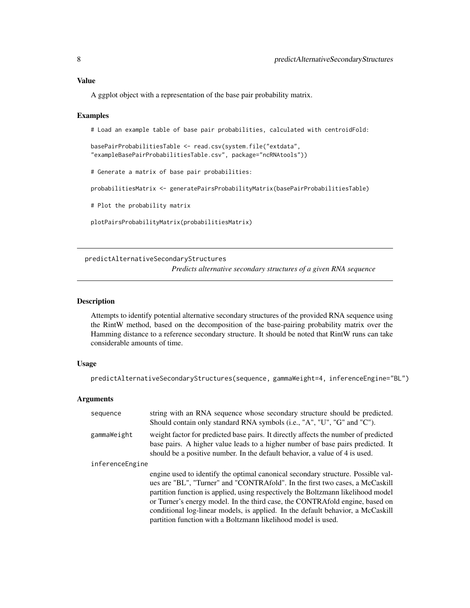#### <span id="page-7-0"></span>Value

A ggplot object with a representation of the base pair probability matrix.

#### Examples

# Load an example table of base pair probabilities, calculated with centroidFold:

```
basePairProbabilitiesTable <- read.csv(system.file("extdata",
"exampleBasePairProbabilitiesTable.csv", package="ncRNAtools"))
```
# Generate a matrix of base pair probabilities:

probabilitiesMatrix <- generatePairsProbabilityMatrix(basePairProbabilitiesTable)

# Plot the probability matrix

plotPairsProbabilityMatrix(probabilitiesMatrix)

predictAlternativeSecondaryStructures

*Predicts alternative secondary structures of a given RNA sequence*

#### Description

Attempts to identify potential alternative secondary structures of the provided RNA sequence using the RintW method, based on the decomposition of the base-pairing probability matrix over the Hamming distance to a reference secondary structure. It should be noted that RintW runs can take considerable amounts of time.

#### Usage

predictAlternativeSecondaryStructures(sequence, gammaWeight=4, inferenceEngine="BL")

#### Arguments

| sequence        | string with an RNA sequence whose secondary structure should be predicted.<br>Should contain only standard RNA symbols (i.e., "A", "U", "G" and "C").                                                                                                                                                                                                                                                                                                                                    |
|-----------------|------------------------------------------------------------------------------------------------------------------------------------------------------------------------------------------------------------------------------------------------------------------------------------------------------------------------------------------------------------------------------------------------------------------------------------------------------------------------------------------|
| gammaWeight     | weight factor for predicted base pairs. It directly affects the number of predicted<br>base pairs. A higher value leads to a higher number of base pairs predicted. It<br>should be a positive number. In the default behavior, a value of 4 is used.                                                                                                                                                                                                                                    |
| inferenceEngine |                                                                                                                                                                                                                                                                                                                                                                                                                                                                                          |
|                 | engine used to identify the optimal canonical secondary structure. Possible val-<br>ues are "BL", "Turner" and "CONTRAfold". In the first two cases, a McCaskill<br>partition function is applied, using respectively the Boltzmann likelihood model<br>or Turner's energy model. In the third case, the CONTRAfold engine, based on<br>conditional log-linear models, is applied. In the default behavior, a McCaskill<br>partition function with a Boltzmann likelihood model is used. |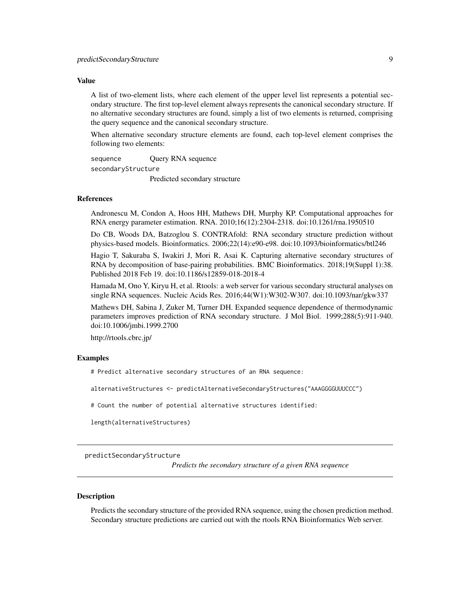#### <span id="page-8-0"></span>Value

A list of two-element lists, where each element of the upper level list represents a potential secondary structure. The first top-level element always represents the canonical secondary structure. If no alternative secondary structures are found, simply a list of two elements is returned, comprising the query sequence and the canonical secondary structure.

When alternative secondary structure elements are found, each top-level element comprises the following two elements:

sequence Query RNA sequence secondaryStructure

Predicted secondary structure

#### References

Andronescu M, Condon A, Hoos HH, Mathews DH, Murphy KP. Computational approaches for RNA energy parameter estimation. RNA. 2010;16(12):2304-2318. doi:10.1261/rna.1950510

Do CB, Woods DA, Batzoglou S. CONTRAfold: RNA secondary structure prediction without physics-based models. Bioinformatics. 2006;22(14):e90-e98. doi:10.1093/bioinformatics/btl246

Hagio T, Sakuraba S, Iwakiri J, Mori R, Asai K. Capturing alternative secondary structures of RNA by decomposition of base-pairing probabilities. BMC Bioinformatics. 2018;19(Suppl 1):38. Published 2018 Feb 19. doi:10.1186/s12859-018-2018-4

Hamada M, Ono Y, Kiryu H, et al. Rtools: a web server for various secondary structural analyses on single RNA sequences. Nucleic Acids Res. 2016;44(W1):W302-W307. doi:10.1093/nar/gkw337

Mathews DH, Sabina J, Zuker M, Turner DH. Expanded sequence dependence of thermodynamic parameters improves prediction of RNA secondary structure. J Mol Biol. 1999;288(5):911-940. doi:10.1006/jmbi.1999.2700

http://rtools.cbrc.jp/

#### Examples

# Predict alternative secondary structures of an RNA sequence:

alternativeStructures <- predictAlternativeSecondaryStructures("AAAGGGGUUUCCC")

# Count the number of potential alternative structures identified:

length(alternativeStructures)

predictSecondaryStructure

*Predicts the secondary structure of a given RNA sequence*

#### **Description**

Predicts the secondary structure of the provided RNA sequence, using the chosen prediction method. Secondary structure predictions are carried out with the rtools RNA Bioinformatics Web server.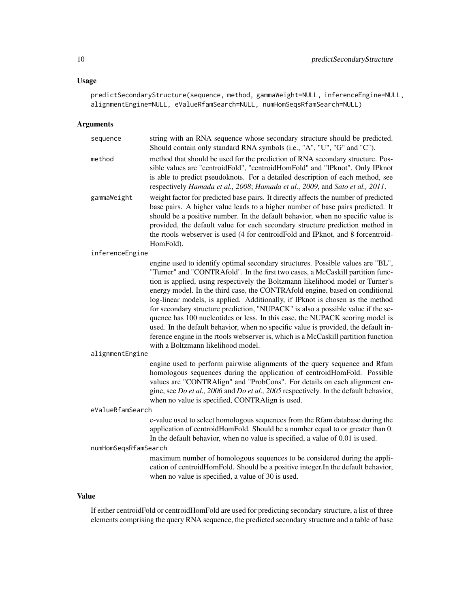#### Usage

predictSecondaryStructure(sequence, method, gammaWeight=NULL, inferenceEngine=NULL, alignmentEngine=NULL, eValueRfamSearch=NULL, numHomSeqsRfamSearch=NULL)

#### Arguments

| sequence             | string with an RNA sequence whose secondary structure should be predicted.<br>Should contain only standard RNA symbols (i.e., "A", "U", "G" and "C").                                                                                                                                                                                                                                                                                                                                                                                                                                                                                                                                                                                                                                                        |
|----------------------|--------------------------------------------------------------------------------------------------------------------------------------------------------------------------------------------------------------------------------------------------------------------------------------------------------------------------------------------------------------------------------------------------------------------------------------------------------------------------------------------------------------------------------------------------------------------------------------------------------------------------------------------------------------------------------------------------------------------------------------------------------------------------------------------------------------|
| method               | method that should be used for the prediction of RNA secondary structure. Pos-<br>sible values are "centroidFold", "centroidHomFold" and "IPknot". Only IPknot<br>is able to predict pseudoknots. For a detailed description of each method, see<br>respectively Hamada et al., 2008; Hamada et al., 2009, and Sato et al., 2011.                                                                                                                                                                                                                                                                                                                                                                                                                                                                            |
| gammaWeight          | weight factor for predicted base pairs. It directly affects the number of predicted<br>base pairs. A higher value leads to a higher number of base pairs predicted. It<br>should be a positive number. In the default behavior, when no specific value is<br>provided, the default value for each secondary structure prediction method in<br>the rtools webserver is used (4 for centroidFold and IPknot, and 8 forcentroid-<br>HomFold).                                                                                                                                                                                                                                                                                                                                                                   |
| inferenceEngine      |                                                                                                                                                                                                                                                                                                                                                                                                                                                                                                                                                                                                                                                                                                                                                                                                              |
|                      | engine used to identify optimal secondary structures. Possible values are "BL",<br>"Turner" and "CONTRAfold". In the first two cases, a McCaskill partition func-<br>tion is applied, using respectively the Boltzmann likelihood model or Turner's<br>energy model. In the third case, the CONTRAfold engine, based on conditional<br>log-linear models, is applied. Additionally, if IPknot is chosen as the method<br>for secondary structure prediction, "NUPACK" is also a possible value if the se-<br>quence has 100 nucleotides or less. In this case, the NUPACK scoring model is<br>used. In the default behavior, when no specific value is provided, the default in-<br>ference engine in the rtools webserver is, which is a McCaskill partition function<br>with a Boltzmann likelihood model. |
| alignmentEngine      |                                                                                                                                                                                                                                                                                                                                                                                                                                                                                                                                                                                                                                                                                                                                                                                                              |
|                      | engine used to perform pairwise alignments of the query sequence and Rfam<br>homologous sequences during the application of centroidHomFold. Possible<br>values are "CONTRAlign" and "ProbCons". For details on each alignment en-<br>gine, see <i>Do et al.</i> , 2006 and <i>Do et al.</i> , 2005 respectively. In the default behavior,<br>when no value is specified, CONTRAlign is used.                                                                                                                                                                                                                                                                                                                                                                                                                |
| eValueRfamSearch     |                                                                                                                                                                                                                                                                                                                                                                                                                                                                                                                                                                                                                                                                                                                                                                                                              |
|                      | e-value used to select homologous sequences from the Rfam database during the<br>application of centroidHomFold. Should be a number equal to or greater than 0.<br>In the default behavior, when no value is specified, a value of 0.01 is used.                                                                                                                                                                                                                                                                                                                                                                                                                                                                                                                                                             |
| numHomSeqsRfamSearch |                                                                                                                                                                                                                                                                                                                                                                                                                                                                                                                                                                                                                                                                                                                                                                                                              |
|                      | maximum number of homologous sequences to be considered during the appli-<br>cation of centroidHomFold. Should be a positive integer.In the default behavior,<br>when no value is specified, a value of 30 is used.                                                                                                                                                                                                                                                                                                                                                                                                                                                                                                                                                                                          |
|                      |                                                                                                                                                                                                                                                                                                                                                                                                                                                                                                                                                                                                                                                                                                                                                                                                              |

#### Value

If either centroidFold or centroidHomFold are used for predicting secondary structure, a list of three elements comprising the query RNA sequence, the predicted secondary structure and a table of base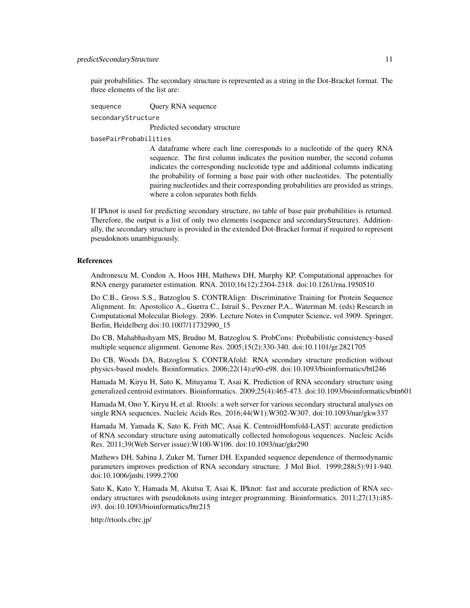pair probabilities. The secondary structure is represented as a string in the Dot-Bracket format. The three elements of the list are:

sequence **Query RNA** sequence secondaryStructure Predicted secondary structure basePairProbabilities

> A dataframe where each line corresponds to a nucleotide of the query RNA sequence. The first column indicates the position number, the second column indicates the corresponding nucleotide type and additional columns indicating the probability of forming a base pair with other nucleotides. The potentially pairing nucleotides and their corresponding probabilities are provided as strings, where a colon separates both fields

If IPknot is used for predicting secondary structure, no table of base pair probabilities is returned. Therefore, the output is a list of only two elements (sequence and secondaryStructure). Additionally, the secondary structure is provided in the extended Dot-Bracket format if required to represent pseudoknots unambiguously.

#### References

Andronescu M, Condon A, Hoos HH, Mathews DH, Murphy KP. Computational approaches for RNA energy parameter estimation. RNA. 2010;16(12):2304-2318. doi:10.1261/rna.1950510

Do C.B., Gross S.S., Batzoglou S. CONTRAlign: Discriminative Training for Protein Sequence Alignment. In: Apostolico A., Guerra C., Istrail S., Pevzner P.A., Waterman M. (eds) Research in Computational Molecular Biology. 2006. Lecture Notes in Computer Science, vol 3909. Springer, Berlin, Heidelberg doi:10.1007/11732990\_15

Do CB, Mahabhashyam MS, Brudno M, Batzoglou S. ProbCons: Probabilistic consistency-based multiple sequence alignment. Genome Res. 2005;15(2):330-340. doi:10.1101/gr.2821705

Do CB, Woods DA, Batzoglou S. CONTRAfold: RNA secondary structure prediction without physics-based models. Bioinformatics. 2006;22(14):e90-e98. doi:10.1093/bioinformatics/btl246

Hamada M, Kiryu H, Sato K, Mituyama T, Asai K. Prediction of RNA secondary structure using generalized centroid estimators. Bioinformatics. 2009;25(4):465-473. doi:10.1093/bioinformatics/btn601

Hamada M, Ono Y, Kiryu H, et al. Rtools: a web server for various secondary structural analyses on single RNA sequences. Nucleic Acids Res. 2016;44(W1):W302-W307. doi:10.1093/nar/gkw337

Hamada M, Yamada K, Sato K, Frith MC, Asai K. CentroidHomfold-LAST: accurate prediction of RNA secondary structure using automatically collected homologous sequences. Nucleic Acids Res. 2011;39(Web Server issue):W100-W106. doi:10.1093/nar/gkr290

Mathews DH, Sabina J, Zuker M, Turner DH. Expanded sequence dependence of thermodynamic parameters improves prediction of RNA secondary structure. J Mol Biol. 1999;288(5):911-940. doi:10.1006/jmbi.1999.2700

Sato K, Kato Y, Hamada M, Akutsu T, Asai K. IPknot: fast and accurate prediction of RNA secondary structures with pseudoknots using integer programming. Bioinformatics. 2011;27(13):i85i93. doi:10.1093/bioinformatics/btr215

http://rtools.cbrc.jp/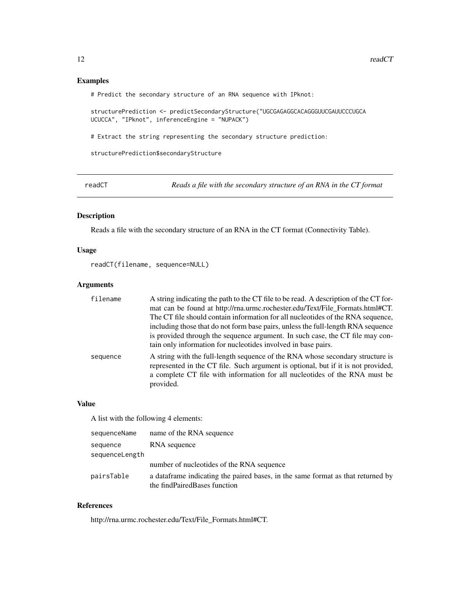#### <span id="page-11-0"></span>Examples

# Predict the secondary structure of an RNA sequence with IPknot:

structurePrediction <- predictSecondaryStructure("UGCGAGAGGCACAGGGUUCGAUUCCCUGCA UCUCCA", "IPknot", inferenceEngine = "NUPACK")

# Extract the string representing the secondary structure prediction:

structurePrediction\$secondaryStructure

readCT *Reads a file with the secondary structure of an RNA in the CT format*

#### Description

Reads a file with the secondary structure of an RNA in the CT format (Connectivity Table).

#### Usage

readCT(filename, sequence=NULL)

#### Arguments

| filename | A string indicating the path to the CT file to be read. A description of the CT for-<br>mat can be found at http://rna.urmc.rochester.edu/Text/File_Formats.html#CT.<br>The CT file should contain information for all nucleotides of the RNA sequence,<br>including those that do not form base pairs, unless the full-length RNA sequence<br>is provided through the sequence argument. In such case, the CT file may con-<br>tain only information for nucleotides involved in base pairs. |
|----------|-----------------------------------------------------------------------------------------------------------------------------------------------------------------------------------------------------------------------------------------------------------------------------------------------------------------------------------------------------------------------------------------------------------------------------------------------------------------------------------------------|
| sequence | A string with the full-length sequence of the RNA whose secondary structure is<br>represented in the CT file. Such argument is optional, but if it is not provided,<br>a complete CT file with information for all nucleotides of the RNA must be<br>provided.                                                                                                                                                                                                                                |

#### Value

A list with the following 4 elements:

| sequenceName   | name of the RNA sequence                                                                                         |
|----------------|------------------------------------------------------------------------------------------------------------------|
| sequence       | RNA sequence                                                                                                     |
| sequenceLength |                                                                                                                  |
|                | number of nucleotides of the RNA sequence                                                                        |
| pairsTable     | a data frame indicating the paired bases, in the same format as that returned by<br>the findPairedBases function |

#### References

http://rna.urmc.rochester.edu/Text/File\_Formats.html#CT.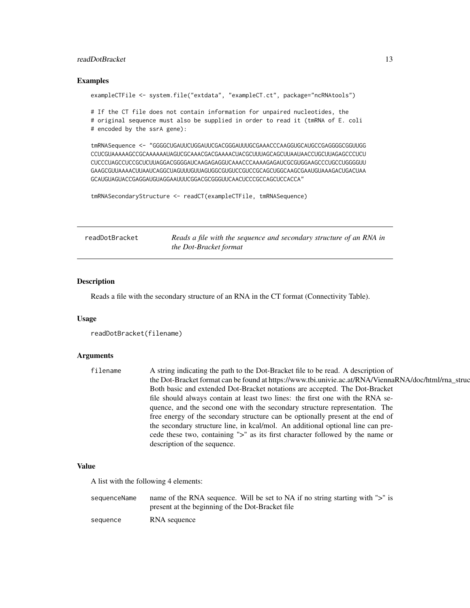#### <span id="page-12-0"></span>readDotBracket 13

#### Examples

exampleCTFile <- system.file("extdata", "exampleCT.ct", package="ncRNAtools")

# If the CT file does not contain information for unpaired nucleotides, the # original sequence must also be supplied in order to read it (tmRNA of E. coli # encoded by the ssrA gene):

tmRNASequence <- "GGGGCUGAUUCUGGAUUCGACGGGAUUUGCGAAACCCAAGGUGCAUGCCGAGGGGCGGUUGG CCUCGUAAAAAGCCGCAAAAAAUAGUCGCAAACGACGAAAACUACGCUUUAGCAGCUUAAUAACCUGCUUAGAGCCCUCU CUCCCUAGCCUCCGCUCUUAGGACGGGGAUCAAGAGAGGUCAAACCCAAAAGAGAUCGCGUGGAAGCCCUGCCUGGGGUU GAAGCGUUAAAACUUAAUCAGGCUAGUUUGUUAGUGGCGUGUCCGUCCGCAGCUGGCAAGCGAAUGUAAAGACUGACUAA GCAUGUAGUACCGAGGAUGUAGGAAUUUCGGACGCGGGUUCAACUCCCGCCAGCUCCACCA"

tmRNASecondaryStructure <- readCT(exampleCTFile, tmRNASequence)

| readDotBracket | Reads a file with the sequence and secondary structure of an RNA in |
|----------------|---------------------------------------------------------------------|
|                | the Dot-Bracket format                                              |

#### Description

Reads a file with the secondary structure of an RNA in the CT format (Connectivity Table).

#### Usage

```
readDotBracket(filename)
```
#### Arguments

| filename | A string indicating the path to the Dot-Bracket file to be read. A description of                    |
|----------|------------------------------------------------------------------------------------------------------|
|          | the Dot-Bracket format can be found at https://www.tbi.univie.ac.at/RNA/ViennaRNA/doc/html/rna_struc |
|          | Both basic and extended Dot-Bracket notations are accepted. The Dot-Bracket                          |
|          | file should always contain at least two lines: the first one with the RNA se-                        |
|          | quence, and the second one with the secondary structure representation. The                          |
|          | free energy of the secondary structure can be optionally present at the end of                       |
|          | the secondary structure line, in kcal/mol. An additional optional line can pre-                      |
|          | cede these two, containing ">" as its first character followed by the name or                        |
|          | description of the sequence.                                                                         |

#### Value

A list with the following 4 elements:

sequenceName name of the RNA sequence. Will be set to NA if no string starting with ">" is present at the beginning of the Dot-Bracket file sequence RNA sequence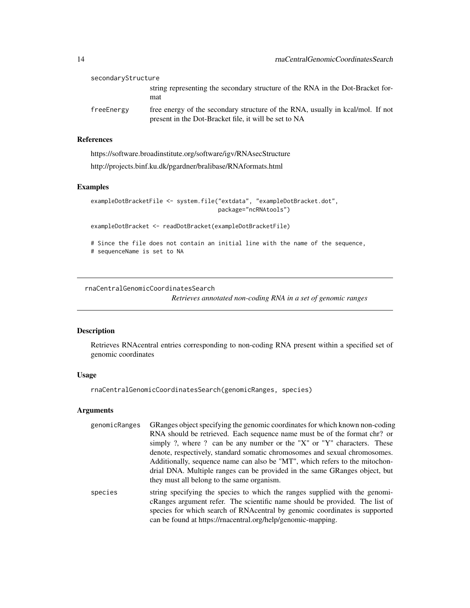| secondaryStructure |                                                                                                                                         |
|--------------------|-----------------------------------------------------------------------------------------------------------------------------------------|
|                    | string representing the secondary structure of the RNA in the Dot-Bracket for-<br>mat                                                   |
| freeEnergy         | free energy of the secondary structure of the RNA, usually in kcal/mol. If not<br>present in the Dot-Bracket file, it will be set to NA |

#### References

https://software.broadinstitute.org/software/igv/RNAsecStructure http://projects.binf.ku.dk/pgardner/bralibase/RNAformats.html

#### Examples

exampleDotBracketFile <- system.file("extdata", "exampleDotBracket.dot", package="ncRNAtools")

exampleDotBracket <- readDotBracket(exampleDotBracketFile)

# Since the file does not contain an initial line with the name of the sequence, # sequenceName is set to NA

rnaCentralGenomicCoordinatesSearch

*Retrieves annotated non-coding RNA in a set of genomic ranges*

#### Description

Retrieves RNAcentral entries corresponding to non-coding RNA present within a specified set of genomic coordinates

#### Usage

rnaCentralGenomicCoordinatesSearch(genomicRanges, species)

#### Arguments

| genomicRanges | GRanges object specifying the genomic coordinates for which known non-coding    |
|---------------|---------------------------------------------------------------------------------|
|               | RNA should be retrieved. Each sequence name must be of the format chr? or       |
|               | simply ?, where ? can be any number or the " $X$ " or " $Y$ " characters. These |
|               | denote, respectively, standard somatic chromosomes and sexual chromosomes.      |
|               | Additionally, sequence name can also be "MT", which refers to the mitochon-     |
|               | drial DNA. Multiple ranges can be provided in the same GRanges object, but      |
|               | they must all belong to the same organism.                                      |
| species       | string specifying the species to which the ranges supplied with the genomi-     |
|               | cRanges argument refer. The scientific name should be provided. The list of     |
|               | species for which search of RNAcentral by genomic coordinates is supported      |

can be found at https://rnacentral.org/help/genomic-mapping.

<span id="page-13-0"></span>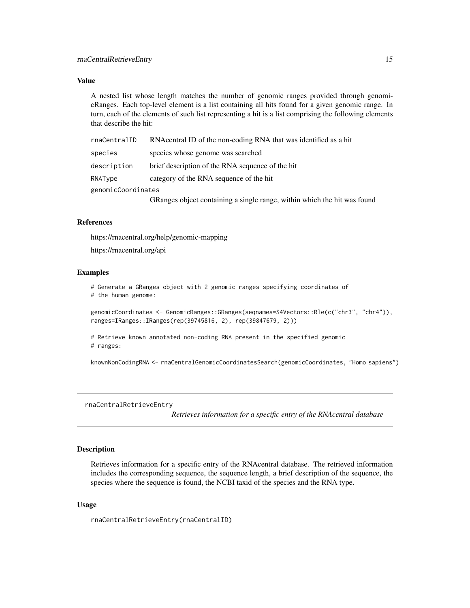#### <span id="page-14-0"></span>Value

A nested list whose length matches the number of genomic ranges provided through genomicRanges. Each top-level element is a list containing all hits found for a given genomic range. In turn, each of the elements of such list representing a hit is a list comprising the following elements that describe the hit:

| rnaCentralID       | RNA central ID of the non-coding RNA that was identified as a hit        |
|--------------------|--------------------------------------------------------------------------|
| species            | species whose genome was searched                                        |
| description        | brief description of the RNA sequence of the hit                         |
| RNAType            | category of the RNA sequence of the hit                                  |
| genomicCoordinates |                                                                          |
|                    | GRanges object containing a single range, within which the hit was found |

#### References

https://rnacentral.org/help/genomic-mapping

https://rnacentral.org/api

#### Examples

# Generate a GRanges object with 2 genomic ranges specifying coordinates of # the human genome:

genomicCoordinates <- GenomicRanges::GRanges(seqnames=S4Vectors::Rle(c("chr3", "chr4")), ranges=IRanges::IRanges(rep(39745816, 2), rep(39847679, 2)))

# Retrieve known annotated non-coding RNA present in the specified genomic # ranges:

knownNonCodingRNA <- rnaCentralGenomicCoordinatesSearch(genomicCoordinates, "Homo sapiens")

rnaCentralRetrieveEntry

*Retrieves information for a specific entry of the RNAcentral database*

#### Description

Retrieves information for a specific entry of the RNAcentral database. The retrieved information includes the corresponding sequence, the sequence length, a brief description of the sequence, the species where the sequence is found, the NCBI taxid of the species and the RNA type.

#### Usage

rnaCentralRetrieveEntry(rnaCentralID)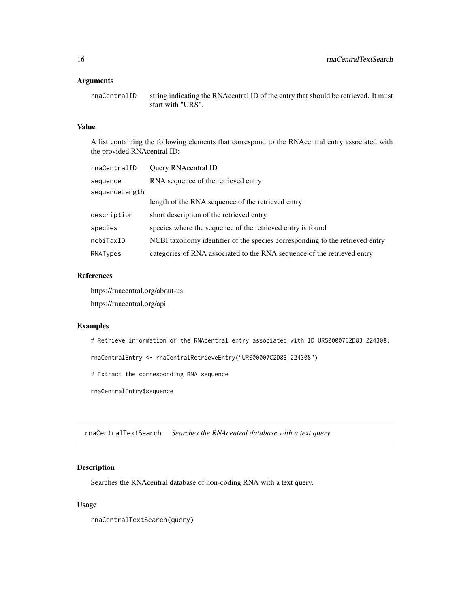#### <span id="page-15-0"></span>Arguments

rnaCentralID string indicating the RNAcentral ID of the entry that should be retrieved. It must start with "URS".

#### Value

A list containing the following elements that correspond to the RNAcentral entry associated with the provided RNAcentral ID:

| rnaCentralID   | Query RNAcentral ID                                                          |
|----------------|------------------------------------------------------------------------------|
| sequence       | RNA sequence of the retrieved entry                                          |
| sequenceLength |                                                                              |
|                | length of the RNA sequence of the retrieved entry                            |
| description    | short description of the retrieved entry                                     |
| species        | species where the sequence of the retrieved entry is found                   |
| ncbiTaxID      | NCBI taxonomy identifier of the species corresponding to the retrieved entry |
| RNATypes       | categories of RNA associated to the RNA sequence of the retrieved entry      |

#### References

https://rnacentral.org/about-us

https://rnacentral.org/api

#### Examples

# Retrieve information of the RNAcentral entry associated with ID URS00007C2D83\_224308:

rnaCentralEntry <- rnaCentralRetrieveEntry("URS00007C2D83\_224308")

# Extract the corresponding RNA sequence

rnaCentralEntry\$sequence

rnaCentralTextSearch *Searches the RNAcentral database with a text query*

#### Description

Searches the RNAcentral database of non-coding RNA with a text query.

#### Usage

rnaCentralTextSearch(query)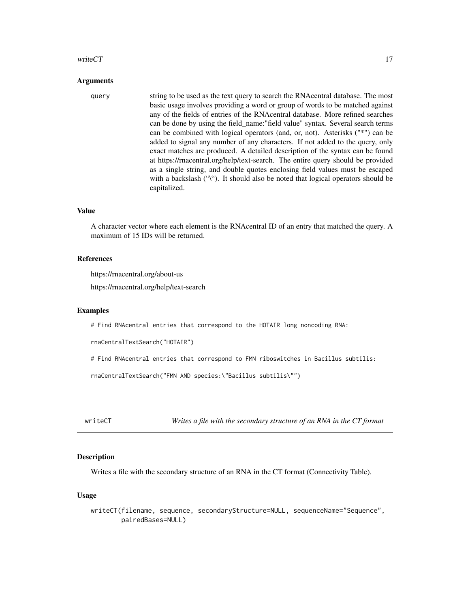#### <span id="page-16-0"></span>write $CT$  17

#### Arguments

query string to be used as the text query to search the RNAcentral database. The most basic usage involves providing a word or group of words to be matched against any of the fields of entries of the RNAcentral database. More refined searches can be done by using the field\_name:"field value" syntax. Several search terms can be combined with logical operators (and, or, not). Asterisks ("\*") can be added to signal any number of any characters. If not added to the query, only exact matches are produced. A detailed description of the syntax can be found at https://rnacentral.org/help/text-search. The entire query should be provided as a single string, and double quotes enclosing field values must be escaped with a backslash ("\"). It should also be noted that logical operators should be capitalized.

#### Value

A character vector where each element is the RNAcentral ID of an entry that matched the query. A maximum of 15 IDs will be returned.

#### References

https://rnacentral.org/about-us

https://rnacentral.org/help/text-search

#### Examples

# Find RNAcentral entries that correspond to the HOTAIR long noncoding RNA:

rnaCentralTextSearch("HOTAIR")

# Find RNAcentral entries that correspond to FMN riboswitches in Bacillus subtilis:

rnaCentralTextSearch("FMN AND species:\"Bacillus subtilis\"")

writeCT *Writes a file with the secondary structure of an RNA in the CT format*

#### Description

Writes a file with the secondary structure of an RNA in the CT format (Connectivity Table).

#### Usage

```
writeCT(filename, sequence, secondaryStructure=NULL, sequenceName="Sequence",
       pairedBases=NULL)
```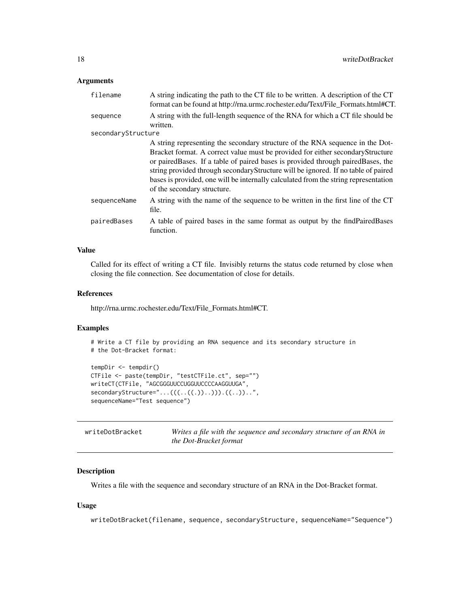#### <span id="page-17-0"></span>Arguments

| filename           | A string indicating the path to the CT file to be written. A description of the CT<br>format can be found at http://rna.urmc.rochester.edu/Text/File_Formats.html#CT.                                                                                                                                                                                                                                                                                            |
|--------------------|------------------------------------------------------------------------------------------------------------------------------------------------------------------------------------------------------------------------------------------------------------------------------------------------------------------------------------------------------------------------------------------------------------------------------------------------------------------|
| sequence           | A string with the full-length sequence of the RNA for which a CT file should be<br>written.                                                                                                                                                                                                                                                                                                                                                                      |
| secondaryStructure |                                                                                                                                                                                                                                                                                                                                                                                                                                                                  |
|                    | A string representing the secondary structure of the RNA sequence in the Dot-<br>Bracket format. A correct value must be provided for either secondaryStructure<br>or paired Bases. If a table of paired bases is provided through paired Bases, the<br>string provided through secondary Structure will be ignored. If no table of paired<br>bases is provided, one will be internally calculated from the string representation<br>of the secondary structure. |
| sequenceName       | A string with the name of the sequence to be written in the first line of the CT<br>file.                                                                                                                                                                                                                                                                                                                                                                        |
| pairedBases        | A table of paired bases in the same format as output by the findPairedBases<br>function.                                                                                                                                                                                                                                                                                                                                                                         |

#### Value

Called for its effect of writing a CT file. Invisibly returns the status code returned by close when closing the file connection. See documentation of close for details.

#### References

http://rna.urmc.rochester.edu/Text/File\_Formats.html#CT.

#### Examples

```
# Write a CT file by providing an RNA sequence and its secondary structure in
# the Dot-Bracket format:
```

```
tempDir <- tempdir()
CTFile <- paste(tempDir, "testCTFile.ct", sep="")
writeCT(CTFile, "AGCGGGUUCCUGGUUCCCCAAGGUUGA",
secondaryStructure="...(((..((.))..))).((..))..",
sequenceName="Test sequence")
```

| writeDotBracket | Writes a file with the sequence and secondary structure of an RNA in |
|-----------------|----------------------------------------------------------------------|
|                 | the Dot-Bracket format                                               |

#### Description

Writes a file with the sequence and secondary structure of an RNA in the Dot-Bracket format.

#### Usage

writeDotBracket(filename, sequence, secondaryStructure, sequenceName="Sequence")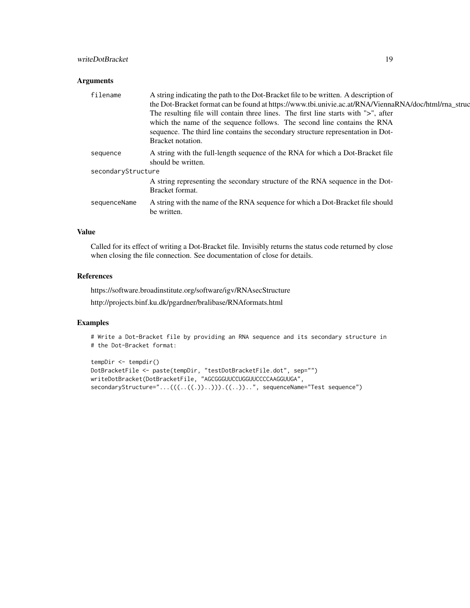#### writeDotBracket 19

#### Arguments

| filename           | A string indicating the path to the Dot-Bracket file to be written. A description of<br>the Dot-Bracket format can be found at https://www.tbi.univie.ac.at/RNA/ViennaRNA/doc/html/rna_struc<br>The resulting file will contain three lines. The first line starts with ">", after<br>which the name of the sequence follows. The second line contains the RNA<br>sequence. The third line contains the secondary structure representation in Dot-<br>Bracket notation. |
|--------------------|-------------------------------------------------------------------------------------------------------------------------------------------------------------------------------------------------------------------------------------------------------------------------------------------------------------------------------------------------------------------------------------------------------------------------------------------------------------------------|
| sequence           | A string with the full-length sequence of the RNA for which a Dot-Bracket file<br>should be written.                                                                                                                                                                                                                                                                                                                                                                    |
| secondaryStructure |                                                                                                                                                                                                                                                                                                                                                                                                                                                                         |
|                    | A string representing the secondary structure of the RNA sequence in the Dot-<br>Bracket format.                                                                                                                                                                                                                                                                                                                                                                        |
| sequenceName       | A string with the name of the RNA sequence for which a Dot-Bracket file should<br>be written.                                                                                                                                                                                                                                                                                                                                                                           |
|                    |                                                                                                                                                                                                                                                                                                                                                                                                                                                                         |

#### Value

Called for its effect of writing a Dot-Bracket file. Invisibly returns the status code returned by close when closing the file connection. See documentation of close for details.

#### References

https://software.broadinstitute.org/software/igv/RNAsecStructure

http://projects.binf.ku.dk/pgardner/bralibase/RNAformats.html

#### Examples

```
# Write a Dot-Bracket file by providing an RNA sequence and its secondary structure in
# the Dot-Bracket format:
```

```
tempDir <- tempdir()
DotBracketFile <- paste(tempDir, "testDotBracketFile.dot", sep="")
writeDotBracket(DotBracketFile, "AGCGGGUUCCUGGUUCCCCAAGGUUGA",
secondaryStructure="...(((..((.))..))).((..))..", sequenceName="Test sequence")
```